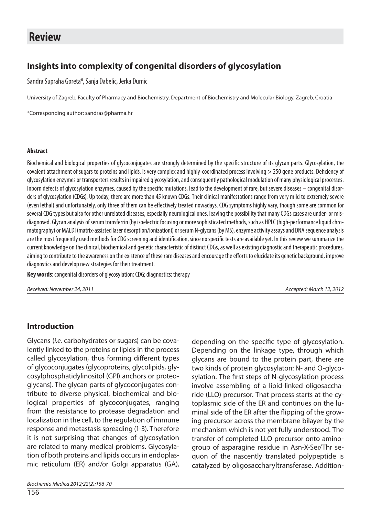# **Review**

# **Insights into complexity of congenital disorders of glycosylation**

Sandra Supraha Goreta\*, Sanja Dabelic, Jerka Dumic

University of Zagreb, Faculty of Pharmacy and Biochemistry, Department of Biochemistry and Molecular Biology, Zagreb, Croatia

\*Corresponding author: sandras@pharma.hr

#### **Abstract**

Biochemical and biological properties of glycoconjugates are strongly determined by the specific structure of its glycan parts. Glycosylation, the covalent attachment of sugars to proteins and lipids, is very complex and highly-coordinated process involving > 250 gene products. Deficiency of glycosylation enzymes or transporters results in impaired glycosylation, and consequently pathological modulation of many physiological processes. Inborn defects of glycosylation enzymes, caused by the specific mutations, lead to the development of rare, but severe diseases – congenital disorders of glycosylation (CDGs). Up today, there are more than 45 known CDGs. Their clinical manifestations range from very mild to extremely severe (even lethal) and unfortunately, only three of them can be effectively treated nowadays. CDG symptoms highly vary, though some are common for several CDG types but also for other unrelated diseases, especially neurological ones, leaving the possibility that many CDGs cases are under- or misdiagnosed. Glycan analysis of serum transferrin (by isoelectric focusing or more sophisticated methods, such as HPLC (high-performance liquid chromatography) or MALDI (matrix-assisted laser desorption/ionization)) or serum N-glycans (by MS), enzyme activity assays and DNA sequence analysis are the most frequently used methods for CDG screening and identification, since no specific tests are available yet. In this review we summarize the current knowledge on the clinical, biochemical and genetic characteristic of distinct CDGs, as well as existing diagnostic and therapeutic procedures, aiming to contribute to the awareness on the existence of these rare diseases and encourage the efforts to elucidate its genetic background, improve diagnostics and develop new strategies for their treatment.

**Key words**: congenital disorders of glycosylation; CDG; diagnostics; therapy

Received: November 24, 2011 Accepted: March 12, 2012

#### **Introduction**

Glycans (i.e. carbohydrates or sugars) can be covalently linked to the proteins or lipids in the process called glycosylation, thus forming different types of glycoconjugates (glycoproteins, glycolipids, glycosylphosphatidylinositol (GPI) anchors or proteoglycans). The glycan parts of glycoconjugates contribute to diverse physical, biochemical and biological properties of glycoconjugates, ranging from the resistance to protease degradation and localization in the cell, to the regulation of immune response and metastasis spreading (1-3). Therefore it is not surprising that changes of glycosylation are related to many medical problems. Glycosylation of both proteins and lipids occurs in endoplasmic reticulum (ER) and/or Golgi apparatus (GA), depending on the specific type of glycosylation. Depending on the linkage type, through which glycans are bound to the protein part, there are two kinds of protein glycosylaton: N- and O-glycosylation. The first steps of N-glycosylation process involve assembling of a lipid-linked oligosaccharide (LLO) precursor. That process starts at the cytoplasmic side of the ER and continues on the luminal side of the ER after the flipping of the growing precursor across the membrane bilayer by the mechanism which is not yet fully understood. The transfer of completed LLO precursor onto aminogroup of asparagine residue in Asn-X-Ser/Thr sequon of the nascently translated polypeptide is catalyzed by oligosaccharyltransferase. Addition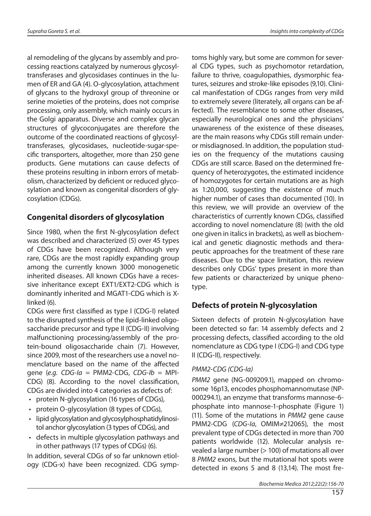al remodeling of the glycans by assembly and processing reactions catalyzed by numerous glycosyltransferases and glycosidases continues in the lumen of ER and GA (4). O-glycosylation, attachment of glycans to the hydroxyl group of threonine or serine moieties of the proteins, does not comprise processing, only assembly, which mainly occurs in the Golgi apparatus. Diverse and complex glycan structures of glycoconjugates are therefore the outcome of the coordinated reactions of glycosyltransferases, glycosidases, nucleotide-sugar-specific transporters, altogether, more than 250 gene products. Gene mutations can cause defects of these proteins resulting in inborn errors of metabolism, characterized by deficient or reduced glycosylation and known as congenital disorders of glycosylation (CDGs).

## **Congenital disorders of glycosylation**

Since 1980, when the first N-glycosylation defect was described and characterized (5) over 45 types of CDGs have been recognized. Although very rare, CDGs are the most rapidly expanding group among the currently known 3000 monogenetic inherited diseases. All known CDGs have a recessive inheritance except EXT1/EXT2-CDG which is dominantly inherited and MGAT1-CDG which is Xlinked (6).

CDGs were first classified as type I (CDG-I) related to the disrupted synthesis of the lipid-linked oligosaccharide precursor and type II (CDG-II) involving malfunctioning processing/assembly of the protein-bound oligosaccharide chain (7). However, since 2009, most of the researchers use a novel nomenclature based on the name of the affected gene (*e.g. CDG-la = PMM2-CDG, CDG-lb = MPI-*CDG) (8). According to the novel classification, CDGs are divided into 4 categories as defects of:

- protein N-glycosylation (16 types of CDGs),
- protein O-glycosylation (8 types of CDGs),
- lipid glycosylation and glycosylphosphatidylinositol anchor glycosylation (3 types of CDGs), and
- defects in multiple glycosylation pathways and in other pathways (17 types of CDGs) (6).

In addition, several CDGs of so far unknown etiology (CDG-x) have been recognized. CDG symptoms highly vary, but some are common for several CDG types, such as psychomotor retardation, failure to thrive, coagulopathies, dysmorphic features, seizures and stroke-like episodes (9,10). Clinical manifestation of CDGs ranges from very mild to extremely severe (literately, all organs can be affected). The resemblance to some other diseases, especially neurological ones and the physicians' unawareness of the existence of these diseases, are the main reasons why CDGs still remain underor misdiagnosed. In addition, the population studies on the frequency of the mutations causing CDGs are still scarce. Based on the determined frequency of heterozygotes, the estimated incidence of homozygotes for certain mutations are as high as 1:20,000, suggesting the existence of much higher number of cases than documented (10). In this review, we will provide an overview of the characteristics of currently known CDGs, classified according to novel nomenclature (8) (with the old one given in italics in brackets), as well as biochemical and genetic diagnostic methods and therapeutic approaches for the treatment of these rare diseases. Due to the space limitation, this review describes only CDGs' types present in more than few patients or characterized by unique phenotype.

# **Defects of protein N-glycosylation**

Sixteen defects of protein N-glycosylation have been detected so far: 14 assembly defects and 2 processing defects, classified according to the old nomenclature as CDG type I (CDG-I) and CDG type II (CDG-II), respectively.

## PMM2-CDG (CDG-Ia)

PMM2 gene (NG-009209.1), mapped on chromosome 16p13, encodes phosphomannomutase (NP-000294.1), an enzyme that transforms mannose-6 phosphate into mannose-1-phosphate (Figure 1) (11). Some of the mutations in PMM2 gene cause PMM2-CDG (CDG-Ia, OMIM≠212065), the most prevalent type of CDGs detected in more than 700 patients worldwide (12). Molecular analysis revealed a large number  $(> 100)$  of mutations all over 8 PMM2 exons, but the mutational hot spots were detected in exons 5 and 8 (13,14). The most fre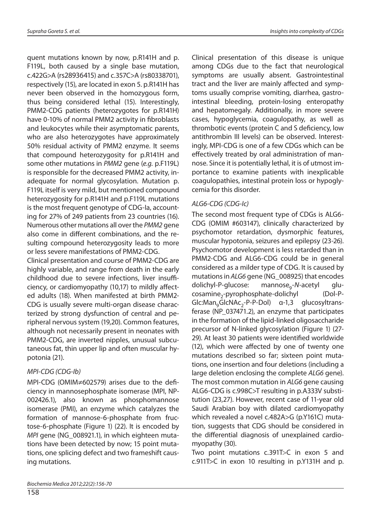quent mutations known by now, p.R141H and p. F119L, both caused by a single base mutation, c.422G>A (rs28936415) and c.357C>A (rs80338701), respectively (15), are located in exon 5. p.R141H has never been observed in the homozygous form, thus being considered lethal (15). Interestingly, PMM2-CDG patients (heterozygotes for p.R141H) have 0-10% of normal PMM2 activity in fibroblasts and leukocytes while their asymptomatic parents, who are also heterozygotes have approximately 50% residual activity of PMM2 enzyme. It seems that compound heterozygosity for p.R141H and some other mutations in PMM2 gene (e.g. p.F119L) is responsible for the decreased PMM2 activity, inadequate for normal glycosylation. Mutation p. F119L itself is very mild, but mentioned compound heterozygosity for p.R141H and p.F119L mutations is the most frequent genotype of CDG-Ia, accounting for 27% of 249 patients from 23 countries (16). Numerous other mutations all over the PMM2 gene also come in different combinations, and the resulting compound heterozygosity leads to more or less severe manifestations of PMM2-CDG.

Clinical presentation and course of PMM2-CDG are highly variable, and range from death in the early childhood due to severe infections, liver insufficiency, or cardiomyopathy (10,17) to mildly affected adults (18). When manifested at birth PMM2- CDG is usually severe multi-organ disease characterized by strong dysfunction of central and peripheral nervous system (19,20). Common features, although not necessarily present in neonates with PMM2-CDG, are inverted nipples, unusual subcutaneous fat, thin upper lip and often muscular hypotonia (21).

#### MPI-CDG (CDG-Ib)

MPI-CDG (OMIM≠602579) arises due to the deficiency in mannosephosphate isomerase (MPI, NP-002426.1), also known as phosphomannose isomerase (PMI), an enzyme which catalyzes the formation of mannose-6-phosphate from fructose-6-phosphate (Figure 1) (22). It is encoded by MPI gene (NG\_008921.1), in which eighteen mutations have been detected by now; 15 point mutations, one splicing defect and two frameshift causing mutations.

Clinical presentation of this disease is unique among CDGs due to the fact that neurological symptoms are usually absent. Gastrointestinal tract and the liver are mainly affected and symptoms usually comprise vomiting, diarrhea, gastrointestinal bleeding, protein-losing enteropathy and hepatomegaly. Additionally, in more severe cases, hypoglycemia, coagulopathy, as well as thrombotic events (protein C and S deficiency, low antithrombin III levels) can be observed. Interestingly, MPI-CDG is one of a few CDGs which can be effectively treated by oral administration of mannose. Since it is potentially lethal, it is of utmost importance to examine patients with inexplicable coagulopathies, intestinal protein loss or hypoglycemia for this disorder.

#### ALG6-CDG (CDG-Ic)

The second most frequent type of CDGs is ALG6- CDG (OMIM #603147), clinically characterized by psychomotor retardation, dysmorphic features, muscular hypotonia, seizures and epilepsy (23-26). Psychomotor development is less retarded than in PMM2-CDG and ALG6-CDG could be in general considered as a milder type of CDG. It is caused by mutations in ALG6 gene (NG\_008925) that encodes dolichyl-P-glucose: mannose<sub>o</sub>-N-acetyl glucosamine<sub>2</sub>-pyrophosphate-dolichyl (Dol-P-Glc:Man<sub>9</sub>GlcNAc<sub>2</sub>-P-P-Dol) α-1,3 glucosyltransferase (NP\_037471.2), an enzyme that participates in the formation of the lipid-linked oligosaccharide precursor of N-linked glycosylation (Figure 1) (27- 29). At least 30 patients were identified worldwide (12), which were affected by one of twenty one mutations described so far; sixteen point mutations, one insertion and four deletions (including a large deletion enclosing the complete ALG6 gene). The most common mutation in ALG6 gene causing ALG6-CDG is c.998C>T resulting in p.A333V substitution (23,27). However, recent case of 11-year old Saudi Arabian boy with dilated cardiomyopathy which revealed a novel c.482A>G (p.Y161C) mutation, suggests that CDG should be considered in the differential diagnosis of unexplained cardiomyopathy (30).

Two point mutations c.391T>C in exon 5 and c.911T>C in exon 10 resulting in p.Y131H and p.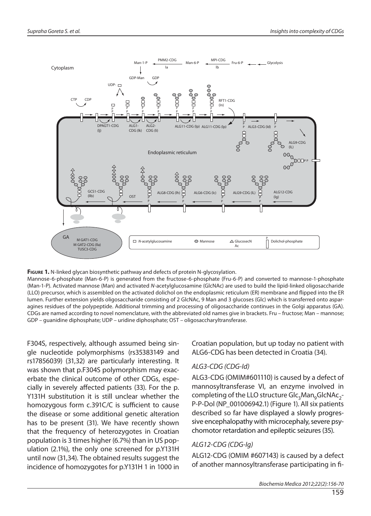

**FIGURE 1.** N-linked glycan biosynthetic pathway and defects of protein N-glycosylation.

Mannose-6-phosphate (Man-6-P) is generated from the fructose-6-phosphate (Fru-6-P) and converted to mannose-1-phosphate (Man-1-P). Activated mannose (Man) and activated N-acetylglucosamine (GlcNAc) are used to build the lipid-linked oligosaccharide (LLO) precursor, which is assembled on the activated dolichol on the endoplasmic reticulum (ER) membrane and flipped into the ER lumen. Further extension yields oligosaccharide consisting of 2 GlcNAc, 9 Man and 3 glucoses (Glc) which is transferred onto asparagines residues of the polypeptide. Additional trimming and processing of oligosaccharide continues in the Golgi apparatus (GA). CDGs are named according to novel nomenclature, with the abbreviated old names give in brackets. Fru – fructose; Man – mannose; GDP – guanidine diphosphate; UDP – uridine diphosphate; OST – oligosaccharyltransferase.

F304S, respectively, although assumed being single nucleotide polymorphisms (rs35383149 and rs17856039) (31,32) are particularly interesting. It was shown that p.F304S polymorphism may exacerbate the clinical outcome of other CDGs, especially in severely affected patients (33). For the p. Y131H substitution it is still unclear whether the homozygous form c.391C/C is sufficient to cause the disease or some additional genetic alteration has to be present (31). We have recently shown that the frequency of heterozygotes in Croatian population is 3 times higher (6.7%) than in US population (2.1%), the only one screened for p.Y131H until now (31,34). The obtained results suggest the incidence of homozygotes for p.Y131H 1 in 1000 in

Croatian population, but up today no patient with ALG6-CDG has been detected in Croatia (34).

#### ALG3-CDG (CDG-Id)

ALG3-CDG (OMIM#601110) is caused by a defect of mannosyltransferase VI, an enzyme involved in completing of the LLO structure  $Glc_2M$ an<sub>o</sub> $Glc$ NAc<sub>2</sub>-P-P-Dol (NP\_001006942.1) (Figure 1). All six patients described so far have displayed a slowly progressive encephalopathy with microcephaly, severe psychomotor retardation and epileptic seizures (35).

#### ALG12-CDG (CDG-Ig)

ALG12-CDG (OMIM #607143) is caused by a defect of another mannosyltransferase participating in fi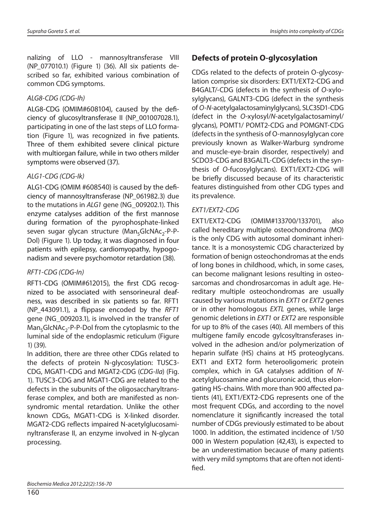nalizing of LLO - mannosyltransferase VIII (NP\_077010.1) (Figure 1) (36). All six patients described so far, exhibited various combination of common CDG symptoms.

#### ALG8-CDG (CDG-Ih)

ALG8-CDG (OMIM#608104), caused by the deficiency of glucosyltransferase II (NP\_001007028.1), participating in one of the last steps of LLO formation (Figure 1), was recognized in five patients. Three of them exhibited severe clinical picture with multiorgan failure, while in two others milder symptoms were observed (37).

#### ALG1-CDG (CDG-Ik)

ALG1-CDG (OMIM #608540) is caused by the deficiency of mannosyltransferase (NP\_061982.3) due to the mutations in ALG1 gene (NG\_009202.1). This enzyme catalyses addition of the first mannose during formation of the pyrophosphate-linked seven sugar glycan structure (Man<sub>5</sub>GlcNAc<sub>2</sub>-P-P-Dol) (Figure 1). Up today, it was diagnosed in four patients with epilepsy, cardiomyopathy, hypogonadism and severe psychomotor retardation (38).

#### RFT1-CDG (CDG-In)

RFT1-CDG (OMIM#612015), the first CDG recognized to be associated with sensorineural deafness, was described in six patients so far. RFT1  $(NP_443091.1)$ , a flippase encoded by the RFT1 gene (NG\_009203.1), is involved in the transfer of  $Man_{5}GlcNAc_{2}-P-P-Dol$  from the cytoplasmic to the luminal side of the endoplasmic reticulum (Figure 1) (39).

In addition, there are three other CDGs related to the defects of protein N-glycosylation: TUSC3- CDG, MGAT1-CDG and MGAT2-CDG (CDG-IIa) (Fig. 1). TUSC3-CDG and MGAT1-CDG are related to the defects in the subunits of the oligosaccharyltransferase complex, and both are manifested as nonsyndromic mental retardation. Unlike the other known CDGs, MGAT1-CDG is X-linked disorder. MGAT2-CDG reflects impaired N-acetylglucosaminyltransferase II, an enzyme involved in N-glycan processing.

## **Defects of protein O-glycosylation**

CDGs related to the defects of protein O-glycosylation comprise six disorders: EXT1/EXT2-CDG and B4GALT/-CDG (defects in the synthesis of O-xylosylglycans), GALNT3-CDG (defect in the synthesis of O-N-acetylgalactosaminylglycans), SLC35D1-CDG (defect in the O-xylosyl/N-acetylgalactosaminyl/ glycans), POMT1/ POMT2-CDG and POMGNT-CDG (defects in the synthesis of O-mannosylglycan core previously known as Walker-Warburg syndrome and muscle-eye-brain disorder, respectively) and SCDO3-CDG and B3GALTL-CDG (defects in the synthesis of O-fucosylglycans). EXT1/EXT2-CDG will be briefly discussed because of its characteristic features distinguished from other CDG types and its prevalence.

#### EXT1/EXT2-CDG

EXT1/EXT2-CDG (OMIM#133700/133701), also called hereditary multiple osteochondroma (MO) is the only CDG with autosomal dominant inheritance. It is a monosystemic CDG characterized by formation of benign osteochondromas at the ends of long bones in childhood, which, in some cases, can become malignant lesions resulting in osteosarcomas and chondrosarcomas in adult age. Hereditary multiple osteochondromas are usually caused by various mutations in EXT1 or EXT2 genes or in other homologous EXTL genes, while large genomic deletions in EXT1 or EXT2 are responsible for up to 8% of the cases (40). All members of this multigene family encode gylcosyltransferases involved in the adhesion and/or polymerization of heparin sulfate (HS) chains at HS proteoglycans. EXT1 and EXT2 form heterooligomeric protein complex, which in GA catalyses addition of Nacetylglucosamine and glucuronic acid, thus elongating HS-chains. With more than 900 affected patients (41), EXT1/EXT2-CDG represents one of the most frequent CDGs, and according to the novel nomenclature it significantly increased the total number of CDGs previously estimated to be about 1000. In addition, the estimated incidence of 1/50 000 in Western population (42,43), is expected to be an underestimation because of many patients with very mild symptoms that are often not identified.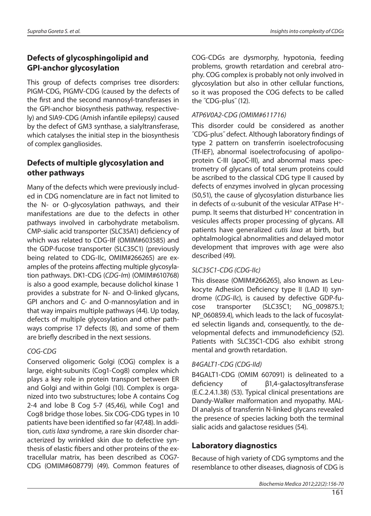## **Defects of glycosphingolipid and GPI-anchor glycosylation**

This group of defects comprises tree disorders: PIGM-CDG, PIGMV-CDG (caused by the defects of the first and the second mannosyl-transferases in the GPI-anchor biosynthesis pathway, respectively) and SIA9-CDG (Amish infantile epilepsy) caused by the defect of GM3 synthase, a sialyltransferase, which catalyses the initial step in the biosynthesis of complex gangliosides.

## **Defects of multiple glycosylation and other pathways**

Many of the defects which were previously included in CDG nomenclature are in fact not limited to the N- or O-glycosylation pathways, and their manifestations are due to the defects in other pathways involved in carbohydrate metabolism. CMP-sialic acid transporter (SLC35A1) deficiency of which was related to CDG-IIf (OMIM#603585) and the GDP-fucose transporter (SLC35C1) (previously being related to CDG-IIc, OMIM#266265) are examples of the proteins affecting multiple glycosylation pathways. DK1-CDG (CDG-Im) (OMIM#610768) is also a good example, because dolichol kinase 1 provides a substrate for N- and O-linked glycans, GPI anchors and C- and O-mannosylation and in that way impairs multiple pathways (44). Up today, defects of multiple glycosylation and other pathways comprise 17 defects (8), and some of them are briefly described in the next sessions.

#### COG-CDG

Conserved oligomeric Golgi (COG) complex is a large, eight-subunits (Cog1-Cog8) complex which plays a key role in protein transport between ER and Golgi and within Golgi (10). Complex is organized into two substructures; lobe A contains Cog 2-4 and lobe B Cog 5-7 (45,46), while Cog1 and Cog8 bridge those lobes. Six COG-CDG types in 10 patients have been identified so far (47,48). In addition, cutis laxa syndrome, a rare skin disorder characterized by wrinkled skin due to defective synthesis of elastic fibers and other proteins of the extracellular matrix, has been described as COG7- CDG (OMIM#608779) (49). Common features of COG-CDGs are dysmorphy, hypotonia, feeding problems, growth retardation and cerebral atrophy. COG complex is probably not only involved in glycosylation but also in other cellular functions, so it was proposed the COG defects to be called the ˝CDG-plus˝ (12).

## ATP6V0A2-CDG (OMIM#611716)

This disorder could be considered as another "CDG-plus" defect. Although laboratory findings of type 2 pattern on transferrin isoelectrofocusing (Tf-IEF), abnormal isoelectrofocusing of apolipoprotein C-III (apoC-III), and abnormal mass spectrometry of glycans of total serum proteins could be ascribed to the classical CDG type II caused by defects of enzymes involved in glycan processing (50,51), the cause of glycosylation disturbance lies in defects of  $\alpha$ -subunit of the vesicular ATPase H<sup>+</sup>pump. It seems that disturbed H<sup>+</sup> concentration in vesicules affects proper processing of glycans. All patients have generalized cutis laxa at birth, but ophtalmological abnormalities and delayed motor development that improves with age were also described (49).

#### SLC35C1-CDG (CDG-IIc)

This disease (OMIM#266265), also known as Leukocyte Adhesion Deficiency type II (LAD II) syndrome (CDG-IIc), is caused by defective GDP-fucose transporter (SLC35C1; NG\_009875.1; NP\_060859.4), which leads to the lack of fucosylated selectin ligands and, consequently, to the developmental defects and immunodeficiency (52). Patients with SLC35C1-CDG also exhibit strong mental and growth retardation.

## B4GALT1-CDG (CDG-IId)

B4GALT1-CDG (OMIM 607091) is delineated to a deficiency of β1,4-galactosyltransferase (E.C.2.4.1.38) (53). Typical clinical presentations are Dandy-Walker malformation and myopathy. MAL-DI analysis of transferrin N-linked glycans revealed the presence of species lacking both the terminal sialic acids and galactose residues (54).

## **Laboratory diagnostics**

Because of high variety of CDG symptoms and the resemblance to other diseases, diagnosis of CDG is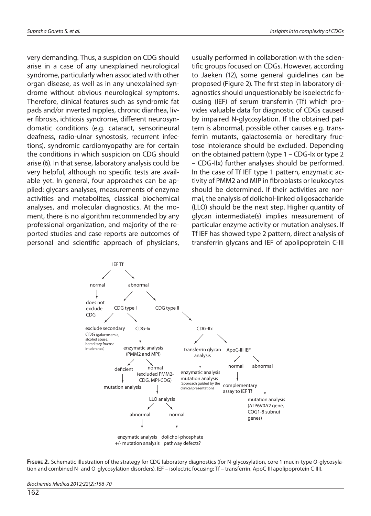very demanding. Thus, a suspicion on CDG should arise in a case of any unexplained neurological syndrome, particularly when associated with other organ disease, as well as in any unexplained syndrome without obvious neurological symptoms. Therefore, clinical features such as syndromic fat pads and/or inverted nipples, chronic diarrhea, liver fibrosis, ichtiosis syndrome, different neurosyndomatic conditions (e.g. cataract, sensorineural deafness, radio-ulnar synostosis, recurrent infections), syndromic cardiomyopathy are for certain the conditions in which suspicion on CDG should arise (6). In that sense, laboratory analysis could be very helpful, although no specific tests are available yet. In general, four approaches can be applied: glycans analyses, measurements of enzyme activities and metabolites, classical biochemical analyses, and molecular diagnostics. At the moment, there is no algorithm recommended by any professional organization, and majority of the reported studies and case reports are outcomes of personal and scientific approach of physicians, usually performed in collaboration with the scientific groups focused on CDGs. However, according to Jaeken (12), some general guidelines can be proposed (Figure 2). The first step in laboratory diagnostics should unquestionably be isoelectric focusing (IEF) of serum transferrin (Tf) which provides valuable data for diagnostic of CDGs caused by impaired N-glycosylation. If the obtained pattern is abnormal, possible other causes e.g. transferrin mutants, galactosemia or hereditary fructose intolerance should be excluded. Depending on the obtained pattern (type 1 – CDG-Ix or type 2 – CDG-IIx) further analyses should be performed. In the case of Tf IEF type 1 pattern, enzymatic activity of PMM2 and MIP in fibroblasts or leukocytes should be determined. If their activities are normal, the analysis of dolichol-linked oligosaccharide (LLO) should be the next step. Higher quantity of glycan intermediate(s) implies measurement of particular enzyme activity or mutation analyses. If Tf IEF has showed type 2 pattern, direct analysis of transferrin glycans and IEF of apolipoprotein C-III



**FIGURE 2.** Schematic illustration of the strategy for CDG laboratory diagnostics (for N-glycosylation, core 1 mucin-type O-glycosylation and combined N- and O-glycosylation disorders). IEF – isolectric focusing; Tf – transferrin, ApoC-III apolipoprotein C-III).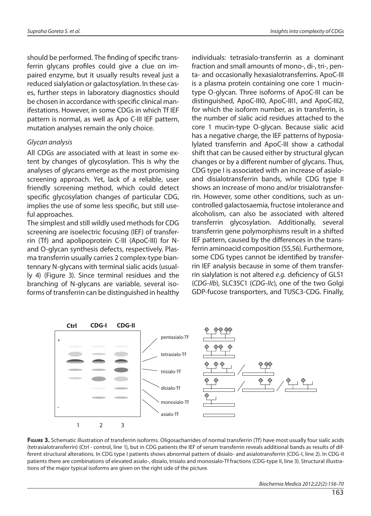should be performed. The finding of specific transferrin glycans profiles could give a clue on impaired enzyme, but it usually results reveal just a reduced sialylation or galactosylation. In these cases, further steps in laboratory diagnostics should be chosen in accordance with specific clinical manifestations. However, in some CDGs in which Tf IEF pattern is normal, as well as Apo C-III IEF pattern, mutation analyses remain the only choice.

#### Glycan analysis

All CDGs are associated with at least in some extent by changes of glycosylation. This is why the analyses of glycans emerge as the most promising screening approach. Yet, lack of a reliable, user friendly screening method, which could detect specific glycosylation changes of particular CDG, implies the use of some less specific, but still useful approaches.

The simplest and still wildly used methods for CDG screening are isoelectric focusing (IEF) of transferrin (Tf) and apolipoprotein C-III (ApoC-III) for Nand O-glycan synthesis defects, respectively. Plasma transferrin usually carries 2 complex-type biantennary N-glycans with terminal sialic acids (usually 4) (Figure 3). Since terminal residues and the branching of N-glycans are variable, several isoforms of transferrin can be distinguished in healthy individuals: tetrasialo-transferrin as a dominant fraction and small amounts of mono-, di-, tri-, penta- and occasionally hexasialotransferrins. ApoC-III is a plasma protein containing one core 1 mucintype O-glycan. Three isoforms of ApoC-III can be distinguished, ApoC-III0, ApoC-III1, and ApoC-III2, for which the isoform number, as in transferrin, is the number of sialic acid residues attached to the core 1 mucin-type O-glycan. Because sialic acid has a negative charge, the IEF patterns of hyposialylated transferrin and ApoC-III show a cathodal shift that can be caused either by structural glycan changes or by a different number of glycans. Thus, CDG type I is associated with an increase of asialoand disialotransferrin bands, while CDG type II shows an increase of mono and/or trisialotransferrin. However, some other conditions, such as uncontrolled galactosaemia, fructose intolerance and alcoholism, can also be associated with altered transferrin glycosylation. Additionally, several transferrin gene polymorphisms result in a shifted IEF pattern, caused by the differences in the transferrin aminoacid composition (55,56). Furthermore, some CDG types cannot be identified by transferrin IEF analysis because in some of them transferrin sialylation is not altered  $e.g.$  deficiency of GLS1 (CDG-IIb), SLC35C1 (CDG-IIc), one of the two Golgi GDP-fucose transporters, and TUSC3-CDG. Finally,



FIGURE 3. Schematic illustration of transferrin isoforms. Oligosacharrides of normal transferrin (Tf) have most usually four sialic acids (tetrasialotransferrin) (Ctrl - control, line 1), but in CDG patients the IEF of serum transferrin reveals additional bands as results of different structural alterations. In CDG type I patients shows abnormal pattern of disialo- and asialotransferrin (CDG-I, line 2). In CDG-II patients there are combinations of elevated asialo-, disialo, trisialo and monosialo-Tf fractions (CDG-type II, line 3). Structural illustrations of the major typical isoforms are given on the right side of the picture.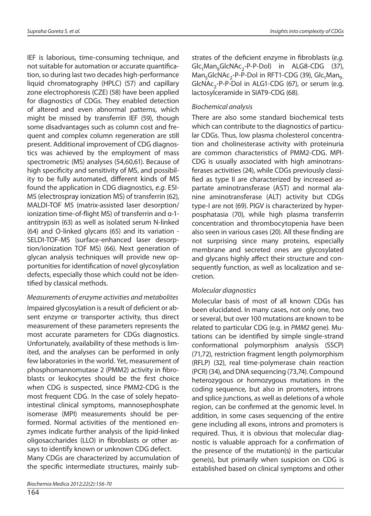IEF is laborious, time-consuming technique, and not suitable for automation or accurate quantification, so during last two decades high-performance liquid chromatography (HPLC) (57) and capillary zone electrophoresis (CZE) (58) have been applied for diagnostics of CDGs. They enabled detection of altered and even abnormal patterns, which might be missed by transferrin IEF (59), though some disadvantages such as column cost and frequent and complex column regeneration are still present. Additional improvement of CDG diagnostics was achieved by the employment of mass spectrometric (MS) analyses (54,60,61). Because of high specificity and sensitivity of MS, and possibility to be fully automated, different kinds of MS found the application in CDG diagnostics, e.g. ESI-MS (electrospray ionization MS) of transferrin (62), MALDI-TOF MS (matrix-assisted laser desorption/ ionization time-of-flight MS) of transferrin and  $α-1$ antitrypsin (63) as well as isolated serum N-linked (64) and O-linked glycans (65) and its variation - SELDI-TOF-MS (surface-enhanced laser desorption/ionization TOF MS) (66). Next generation of glycan analysis techniques will provide new opportunities for identification of novel glycosylation defects, especially those which could not be iden-

# tified by classical methods.

Measurements of enzyme activities and metabolites Impaired glycosylation is a result of deficient or absent enzyme or transporter activity, thus direct measurement of these parameters represents the most accurate parameters for CDGs diagnostics. Unfortunately, availability of these methods is limited, and the analyses can be performed in only few laboratories in the world. Yet, measurement of phosphomannomutase 2 (PMM2) activity in fibroblasts or leukocytes should be the first choice when CDG is suspected, since PMM2-CDG is the most frequent CDG. In the case of solely hepatointestinal clinical symptoms, mannosephosphate isomerase (MPI) measurements should be performed. Normal activities of the mentioned enzymes indicate further analysis of the lipid-linked oligosaccharides (LLO) in fibroblasts or other assays to identify known or unknown CDG defect. Many CDGs are characterized by accumulation of the specific intermediate structures, mainly sub-

```
Biochemia Medica 2012;22(2):156-70
```
strates of the deficient enzyme in fibroblasts (e.g.  $Glc<sub>1</sub>Man<sub>9</sub>GlcNAc<sub>2</sub>-P-P-Dol$ ) in ALG8-CDG (37),  $\text{Man}_5\text{GICNAC}_2$ -P-P-Dol in RFT1-CDG (39), Glc<sub>1</sub>Man<sub>9-</sub>  $GlcNAc<sub>2</sub>-P-P-Dol$  in ALG1-CDG (67), or serum (e.g. lactosylceramide in SIAT9-CDG (68).

### Biochemical analysis

There are also some standard biochemical tests which can contribute to the diagnostics of particular CDGs. Thus, low plasma cholesterol concentration and cholinesterase activity with proteinuria are common characteristics of PMM2-CDG. MPI-CDG is usually associated with high aminotransferases activities (24), while CDGs previously classified as type II are characterized by increased aspartate aminotransferase (AST) and normal alanine aminotransferase (ALT) activity but CDGs type-I are not (69). PIGV is characterized by hyperposphatasia (70), while high plasma transferrin concentration and thrombocytopenia have been also seen in various cases (20). All these finding are not surprising since many proteins, especially membrane and secreted ones are glycosylated and glycans highly affect their structure and consequently function, as well as localization and secretion.

#### Molecular diagnostics

Molecular basis of most of all known CDGs has been elucidated. In many cases, not only one, two or several, but over 100 mutations are known to be related to particular CDG (e.g. in PMM2 gene). Mutations can be identified by simple single-strand conformational polymorphism analysis (SSCP) (71,72), restriction fragment length polymorphism (RFLP) (32), real time-polymerase chain reaction (PCR) (34), and DNA sequencing (73,74). Compound heterozygous or homozygous mutations in the coding sequence, but also in promoters, introns and splice junctions, as well as deletions of a whole region, can be confirmed at the genomic level. In addition, in some cases sequencing of the entire gene including all exons, introns and promoters is required. Thus, it is obvious that molecular diagnostic is valuable approach for a confirmation of the presence of the mutation(s) in the particular gene(s), but primarily when suspicion on CDG is established based on clinical symptoms and other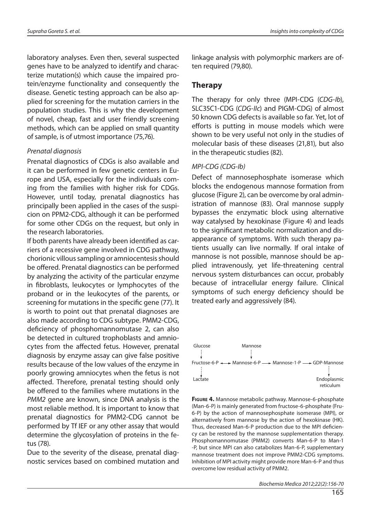laboratory analyses. Even then, several suspected genes have to be analyzed to identify and characterize mutation(s) which cause the impaired protein/enzyme functionality and consequently the disease. Genetic testing approach can be also applied for screening for the mutation carriers in the population studies. This is why the development of novel, cheap, fast and user friendly screening methods, which can be applied on small quantity of sample, is of utmost importance (75,76).

#### Prenatal diagnosis

Prenatal diagnostics of CDGs is also available and it can be performed in few genetic centers in Europe and USA, especially for the individuals coming from the families with higher risk for CDGs. However, until today, prenatal diagnostics has principally been applied in the cases of the suspicion on PPM2-CDG, although it can be performed for some other CDGs on the request, but only in the research laboratories.

If both parents have already been identified as carriers of a recessive gene involved in CDG pathway, chorionic villous sampling or amniocentesis should be offered. Prenatal diagnostics can be performed by analyzing the activity of the particular enzyme in fibroblasts, leukocytes or lymphocytes of the proband or in the leukocytes of the parents, or screening for mutations in the specific gene (77). It is worth to point out that prenatal diagnoses are also made according to CDG subtype. PMM2-CDG, deficiency of phosphomannomutase 2, can also be detected in cultured trophoblasts and amniocytes from the affected fetus. However, prenatal diagnosis by enzyme assay can give false positive results because of the low values of the enzyme in poorly growing amniocytes when the fetus is not affected. Therefore, prenatal testing should only be offered to the families where mutations in the PMM2 gene are known, since DNA analysis is the most reliable method. It is important to know that prenatal diagnostics for PMM2-CDG cannot be performed by Tf IEF or any other assay that would determine the glycosylation of proteins in the fetus (78).

Due to the severity of the disease, prenatal diagnostic services based on combined mutation and linkage analysis with polymorphic markers are often required (79,80).

#### **Therapy**

The therapy for only three (MPI-CDG (CDG-Ib), SLC35C1-CDG (CDG-IIc) and PIGM-CDG) of almost 50 known CDG defects is available so far. Yet, lot of efforts is putting in mouse models which were shown to be very useful not only in the studies of molecular basis of these diseases (21,81), but also in the therapeutic studies (82).

#### MPI-CDG (CDG-Ib)

Defect of mannosephosphate isomerase which blocks the endogenous mannose formation from glucose (Figure 2), can be overcome by oral administration of mannose (83). Oral mannose supply bypasses the enzymatic block using alternative way catalysed by hexokinase (Figure 4) and leads to the significant metabolic normalization and disappearance of symptoms. With such therapy patients usually can live normally. If oral intake of mannose is not possible, mannose should be applied intravenously, yet life-threatening central nervous system disturbances can occur, probably because of intracellular energy failure. Clinical symptoms of such energy deficiency should be treated early and aggressively (84).



**FIGURE 4.** Mannose metabolic pathway. Mannose-6-phosphate (Man-6-P) is mainly generated from fructose-6-phosphate (Fru-6-P) by the action of mannosephosphate isomerase (MPI), or alternatively from mannose by the action of hexokinase (HK). Thus, decreased Man-6-P production due to the MPI deficiency can be restored by the mannose supplementation therapy. Phosphomannomutase (PMM2) converts Man-6-P to Man-1 -P, but since MPI can also catabolizes Man-6-P, supplementary mannose treatment does not improve PMM2-CDG symptoms. Inhibition of MPI activity might provide more Man-6-P and thus overcome low residual activity of PMM2.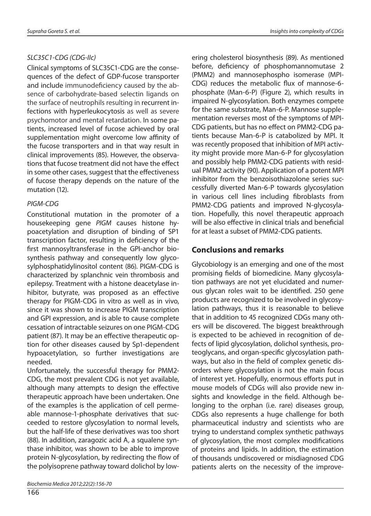#### SLC35C1-CDG (CDG-IIc)

Clinical symptoms of SLC35C1-CDG are the consequences of the defect of GDP-fucose transporter and include immunodeficiency caused by the absence of carbohydrate-based selectin ligands on the surface of neutrophils resulting in recurrent infections with hyperleukocytosis as well as severe psychomotor and mental retardation. In some patients, increased level of fucose achieved by oral supplementation might overcome low affinity of the fucose transporters and in that way result in clinical improvements (85). However, the observations that fucose treatment did not have the effect in some other cases, suggest that the effectiveness of fucose therapy depends on the nature of the mutation (12).

#### PIGM-CDG

Constitutional mutation in the promoter of a housekeeping gene PIGM causes histone hypoacetylation and disruption of binding of SP1 transcription factor, resulting in deficiency of the first mannosyltransferase in the GPI-anchor biosynthesis pathway and consequently low glycosylphosphatidylinositol content (86). PIGM-CDG is characterized by splanchnic vein thrombosis and epilepsy. Treatment with a histone deacetylase inhibitor, butyrate, was proposed as an effective therapy for PIGM-CDG in vitro as well as in vivo, since it was shown to increase PIGM transcription and GPI expression, and is able to cause complete cessation of intractable seizures on one PIGM-CDG patient (87). It may be an effective therapeutic option for other diseases caused by Sp1-dependent hypoacetylation, so further investigations are needed.

Unfortunately, the successful therapy for PMM2- CDG, the most prevalent CDG is not yet available, although many attempts to design the effective therapeutic approach have been undertaken. One of the examples is the application of cell permeable mannose-1-phosphate derivatives that succeeded to restore glycosylation to normal levels, but the half-life of these derivatives was too short (88). In addition, zaragozic acid A, a squalene synthase inhibitor, was shown to be able to improve protein N-glycosylation, by redirecting the flow of the polyisoprene pathway toward dolichol by low-

Biochemia Medica 2012;22(2):156-70

ering cholesterol biosynthesis (89). As mentioned before, deficiency of phosphomannomutase 2 (PMM2) and mannosephospho isomerase (MPI-CDG) reduces the metabolic flux of mannose-6phosphate (Man-6-P) (Figure 2), which results in impaired N-glycosylation. Both enzymes compete for the same substrate, Man-6-P. Mannose supplementation reverses most of the symptoms of MPI-CDG patients, but has no effect on PMM2-CDG patients because Man-6-P is catabolized by MPI. It was recently proposed that inhibition of MPI activity might provide more Man-6-P for glycosylation and possibly help PMM2-CDG patients with residual PMM2 activity (90). Application of a potent MPI inhibitor from the benzoisothiazolone series successfully diverted Man-6-P towards glycosylation in various cell lines including fibroblasts from PMM2-CDG patients and improved N-glycosylation. Hopefully, this novel therapeutic approach will be also effective in clinical trials and beneficial for at least a subset of PMM2-CDG patients.

## **Conclusions and remarks**

Glycobiology is an emerging and one of the most promising fields of biomedicine. Many glycosylation pathways are not yet elucidated and numerous glycan roles wait to be identified. 250 gene products are recognized to be involved in glycosylation pathways, thus it is reasonable to believe that in addition to 45 recognized CDGs many others will be discovered. The biggest breakthrough is expected to be achieved in recognition of defects of lipid glycosylation, dolichol synthesis, proteoglycans, and organ-specific glycosylation pathways, but also in the field of complex genetic disorders where glycosylation is not the main focus of interest yet. Hopefully, enormous efforts put in mouse models of CDGs will also provide new insights and knowledge in the field. Although belonging to the orphan (i.e. rare) diseases group, CDGs also represents a huge challenge for both pharmaceutical industry and scientists who are trying to understand complex synthetic pathways of glycosylation, the most complex modifications of proteins and lipids. In addition, the estimation of thousands undiscovered or misdiagnosed CDG patients alerts on the necessity of the improve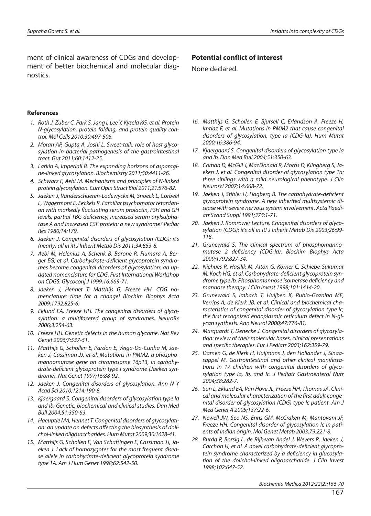ment of clinical awareness of CDGs and development of better biochemical and molecular diagnostics.

#### **References**

- 1. Roth J, Zuber C, Park S, Jang I, Lee Y, Kysela KG, et al. Protein N-glycosylation, protein folding, and protein quality control. Mol Cells 2010;30:497-506.
- 2. Moran AP, Gupta A, Joshi L. Sweet-talk: role of host glycosylation in bacterial pathogenesis of the gastrointestinal tract. Gut 2011;60:1412-25.
- 3. Larkin A, Imperiali B. The expanding horizons of asparagine-linked glycosylation. Biochemistry 2011;50:4411-26.
- 4. Schwarz F, Aebi M. Mechanisms and principles of N-linked protein glycosylation. Curr Opin Struct Biol 2011;21:576-82.
- 5. Jaeken J, Vanderschueren-Lodewyckx M, Snoeck L, Corbeel L, Wggermont E, Eeckels R. Familiar psychomotor retardation with markedly fluctuating serum prolactin, FSH and GH levels, partial TBG deficiency, increased serum arylsulphatase A and increased CSF protein: a new syndrome? Pediar Res 1980;14:179.
- 6. Jaeken J. Congenital disorders of glycosylation (CDG): it's (nearly) all in it! J Inherit Metab Dis 2011;34:853-8.
- 7. Aebi M, Helenius A, Schenk B, Barone R, Fiumara A, Berger EG, et al. Carbohydrate-deficient glycoprotein syndromes become congenital disorders of glycosylation: an updated nomenclature for CDG. First International Workshop on CDGS. Glycoconj J 1999;16:669-71.
- 8. Jaeken J, Hennet T, Matthijs G, Freeze HH. CDG nomenclature: time for a change! Biochim Biophys Acta 2009;1792:825-6.
- 9. Eklund EA, Freeze HH. The congenital disorders of glycosylation: a multifaceted group of syndromes. NeuroRx 2006;3:254-63.
- 10. Freeze HH. Genetic defects in the human glycome. Nat Rev Genet 2006;7:537-51.
- 11. Matthijs G, Schollen E, Pardon E, Veiga-Da-Cunha M, Jaeken J, Cassiman JJ, et al. Mutations in PMM2, a phosphomannomutase gene on chromosome 16p13, in carbohydrate-deficient glycoprotein type I syndrome (Jaeken syndrome). Nat Genet 1997;16:88-92.
- 12. Jaeken J. Congenital disorders of glycosylation. Ann N Y Acad Sci 2010;1214:190-8.
- 13. Kjaergaard S. Congenital disorders of glycosylation type Ia and Ib. Genetic, biochemical and clinical studies. Dan Med Bull 2004;51:350-63.
- 14. Haeuptle MA, Hennet T. Congenital disorders of glycosylation: an update on defects affecting the biosynthesis of dolichol-linked oligosaccharides. Hum Mutat 2009;30:1628-41.
- 15. Matthijs G, Schollen E, Van Schaftingen E, Cassiman JJ, Jaeken J. Lack of homozygotes for the most frequent disease allele in carbohydrate-deficient glycoprotein syndrome type 1A. Am J Hum Genet 1998;62:542-50.

#### **Potential conflict of interest**

None declared.

- 16. Matthijs G, Schollen E, Bjursell C, Erlandson A, Freeze H, Imtiaz F, et al. Mutations in PMM2 that cause congenital disorders of glycosylation, type Ia (CDG-Ia). Hum Mutat 2000;16:386-94.
- 17. Kjaergaard S. Congenital disorders of glycosylation type Ia and Ib. Dan Med Bull 2004;51:350-63.
- 18. Coman D, McGill J, MacDonald R, Morris D, Klingberg S, Jaeken J, et al. Congenital disorder of glycosylation type 1a: three siblings with a mild neurological phenotype. J Clin Neurosci 2007;14:668-72.
- 19. Jaeken J, Stibler H, Hagberg B. The carbohydrate-deficient glycoprotein syndrome. A new inherited multisystemic disease with severe nervous system involvement. Acta Paediatr Scand Suppl 1991;375:1-71.
- 20. Jaeken J. Komrower Lecture. Congenital disorders of glycosylation (CDG): it's all in it! J Inherit Metab Dis 2003;26:99- 118.
- 21. Grunewald S. The clinical spectrum of phosphomannomutase 2 deficiency (CDG-Ia). Biochim Biophys Acta 2009;1792:827-34.
- 22. Niehues R, Hasilik M, Alton G, Korner C, Schiebe-Sukumar M, Koch HG, et al. Carbohydrate-deficient glycoprotein syndrome type Ib. Phosphomannose isomerase deficiency and mannose therapy. J Clin Invest 1998;101:1414-20.
- 23. Grunewald S, Imbach T, Huijben K, Rubio-Gozalbo ME, Verrips A, de Klerk JB, et al. Clinical and biochemical characteristics of congenital disorder of glycosylation type Ic, the first recognized endoplasmic reticulum defect in N-glycan synthesis. Ann Neurol 2000;47:776-81.
- 24. Marquardt T, Denecke J. Congenital disorders of glycosylation: review of their molecular bases, clinical presentations and specific therapies. Eur J Pediatr 2003;162:359-79.
- 25. Damen G, de Klerk H, Huijmans J, den Hollander J, Sinaasappel M. Gastrointestinal and other clinical manifestations in 17 children with congenital disorders of glycosylation type Ia, Ib, and Ic. J Pediatr Gastroenterol Nutr 2004;38:282-7.
- 26. Sun L, Eklund EA, Van Hove JL, Freeze HH, Thomas JA. Clinical and molecular characterization of the first adult congenital disorder of glycosylation (CDG) type Ic patient. Am J Med Genet A 2005;137:22-6.
- 27. Newell JW, Seo NS, Enns GM, McCraken M, Mantovani JF, Freeze HH. Congenital disorder of glycosylation Ic in patients of Indian origin. Mol Genet Metab 2003;79:221-8.
- 28. Burda P, Borsig L, de Rijk-van Andel J, Wevers R, Jaeken J, Carchon H, et al. A novel carbohydrate-deficient glycoprotein syndrome characterized by a deficiency in glucosylation of the dolichol-linked oligosaccharide. J Clin Invest 1998;102:647-52.

Biochemia Medica 2012;22(2):156-70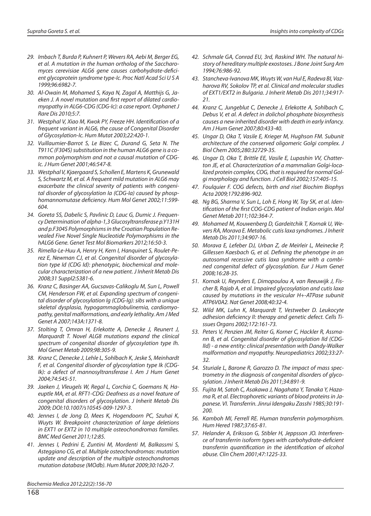- 29. Imbach T, Burda P, Kuhnert P, Wevers RA, Aebi M, Berger EG, et al. A mutation in the human ortholog of the Saccharomyces cerevisiae ALG6 gene causes carbohydrate-deficient glycoprotein syndrome type-Ic. Proc Natl Acad Sci U S A 1999;96:6982-7.
- 30. Al-Owain M, Mohamed S, Kaya N, Zagal A, Matthijs G, Jaeken J. A novel mutation and first report of dilated cardiomyopathy in ALG6-CDG (CDG-Ic): a case report. Orphanet J Rare Dis 2010;5:7.
- 31. Westphal V, Xiao M, Kwok PY, Freeze HH. Identification of a frequent variant in ALG6, the cause of Congenital Disorder of Glycosylation-Ic. Hum Mutat 2003;22:420-1.
- 32. Vuillaumier-Barrot S, Le Bizec C, Durand G, Seta N. The T911C (F304S) substitution in the human ALG6 gene is a common polymorphism and not a causal mutation of CDG-Ic. J Hum Genet 2001;46:547-8.
- 33. Westphal V, Kjaergaard S, Schollen E, Martens K, Grunewald S, Schwartz M, et al. A frequent mild mutation in ALG6 may exacerbate the clinical severity of patients with congenital disorder of glycosylation Ia (CDG-Ia) caused by phosphomannomutase deficiency. Hum Mol Genet 2002;11:599-604.
- 34. Goreta SS, Dabelic S, Pavlinic D, Lauc G, Dumic J. Frequency Determination of alpha-1,3 Glucosyltransferase p.Y131H and p.F304S Polymorphisms in the Croatian Population Revealed Five Novel Single Nucleotide Polymorphisms in the hALG6 Gene. Genet Test Mol Biomarkers 2012;16:50-3.
- 35. Rimella-Le-Huu A, Henry H, Kern I, Hanquinet S, Roulet-Perez E, Newman CJ, et al. Congenital disorder of glycosylation type Id (CDG Id): phenotypic, biochemical and molecular characterization of a new patient. J Inherit Metab Dis 2008;31 Suppl2:S381-6.
- 36. Kranz C, Basinger AA, Gucsavas-Calikoglu M, Sun L, Powell CM, Henderson FW, et al. Expanding spectrum of congenital disorder of glycosylation Ig (CDG-Ig): sibs with a unique skeletal dysplasia, hypogammaglobulinemia, cardiomyopathy, genital malformations, and early lethality. Am J Med Genet A 2007;143A:1371-8.
- 37. Stolting T, Omran H, Erlekotte A, Denecke J, Reunert J, Marquardt T. Novel ALG8 mutations expand the clinical spectrum of congenital disorder of glycosylation type Ih. Mol Genet Metab 2009;98:305-9.
- 38. Kranz C, Denecke J, Lehle L, Sohlbach K, Jeske S, Meinhardt F, et al. Congenital disorder of glycosylation type Ik (CDG-Ik): a defect of mannosyltransferase I. Am J Hum Genet 2004;74:545-51.
- 39. Jaeken J, Vleugels W, Regal L, Corchia C, Goemans N, Haeuptle MA, et al. RFT1-CDG: Deafness as a novel feature of congenital disorders of glycosylation. J Inherit Metab Dis 2009; DOI:10.1007/s10545-009-1297-3.
- 40. Jennes I, de Jong D, Mees K, Hogendoorn PC, Szuhai K, Wuyts W. Breakpoint characterization of large deletions in EXT1 or EXT2 in 10 multiple osteochondromas families. BMC Med Genet 2011;12:85.
- 41. Jennes I, Pedrini E, Zuntini M, Mordenti M, Balkassmi S, Asteggiano CG, et al. Multiple osteochondromas: mutation update and description of the multiple osteochondromas mutation database (MOdb). Hum Mutat 2009;30:1620-7.
- 42. Schmale GA, Conrad EU, 3rd, Raskind WH. The natural history of hereditary multiple exostoses. J Bone Joint Surg Am 1994;76:986-92.
- 43. Stancheva-Ivanova MK, Wuyts W, van Hul E, Radeva BI, Vazharova RV, Sokolov TP, et al. Clinical and molecular studies of EXT1/EXT2 in Bulgaria. J Inherit Metab Dis 2011;34:917- 21.
- 44. Kranz C, Jungeblut C, Denecke J, Erlekotte A, Sohlbach C, Debus V, et al. A defect in dolichol phosphate biosynthesis causes a new inherited disorder with death in early infancy. Am J Hum Genet 2007;80:433-40.
- 45. Ungar D, Oka T, Vasile E, Krieger M, Hughson FM. Subunit architecture of the conserved oligomeric Golgi complex. J Biol Chem 2005;280:32729-35.
- 46. Ungar D, Oka T, Brittle EE, Vasile E, Lupashin VV, Chatterton JE, et al. Characterization of a mammalian Golgi-localized protein complex, COG, that is required for normal Golgi morphology and function. J Cell Biol 2002;157:405-15.
- 47. Foulquier F. COG defects, birth and rise! Biochim Biophys Acta 2009;1792:896-902.
- 48. Ng BG, Sharma V, Sun L, Loh E, Hong W, Tay SK, et al. Identification of the first COG-CDG patient of Indian origin. Mol Genet Metab 2011;102:364-7.
- 49. Mohamed M, Kouwenberg D, Gardeitchik T, Kornak U, Wevers RA, Morava E. Metabolic cutis laxa syndromes. J Inherit Metab Dis 2011;34:907-16.
- 50. Morava E, Lefeber DJ, Urban Z, de Meirleir L, Meinecke P, Gillessen Kaesbach G, et al. Defining the phenotype in an autosomal recessive cutis laxa syndrome with a combined congenital defect of glycosylation. Eur J Hum Genet 2008;16:28-35.
- 51. Kornak U, Reynders E, Dimopoulou A, van Reeuwijk J, Fischer B, Rajab A, et al. Impaired glycosylation and cutis laxa caused by mutations in the vesicular H+-ATPase subunit ATP6V0A2. Nat Genet 2008;40:32-4.
- 52. Wild MK, Luhn K, Marquardt T, Vestweber D. Leukocyte adhesion deficiency II: therapy and genetic defect. Cells Tissues Organs 2002;172:161-73.
- 53. Peters V, Penzien JM, Reiter G, Korner C, Hackler R, Assmann B, et al. Congenital disorder of glycosylation IId (CDG-IId) - a new entity: clinical presentation with Dandy-Walker malformation and myopathy. Neuropediatrics 2002;33:27- 32.
- 54. Sturiale L, Barone R, Garozzo D. The impact of mass spectrometry in the diagnosis of congenital disorders of glycosylation. J Inherit Metab Dis 2011;34:891-9.
- 55. Fujita M, Satoh C, Asakawa J, Nagahata Y, Tanaka Y, Hazama R, et al. Electrophoretic variants of blood proteins in Japanese. VI. Transferrin. Jinrui Idengaku Zasshi 1985;30:191- 200.
- 56. Kamboh MI, Ferrell RE. Human transferrin polymorphism. Hum Hered 1987;37:65-81.
- 57. Helander A, Eriksson G, Stibler H, Jeppsson JO. Interference of transferrin isoform types with carbohydrate-deficient transferrin quantification in the identification of alcohol abuse. Clin Chem 2001;47:1225-33.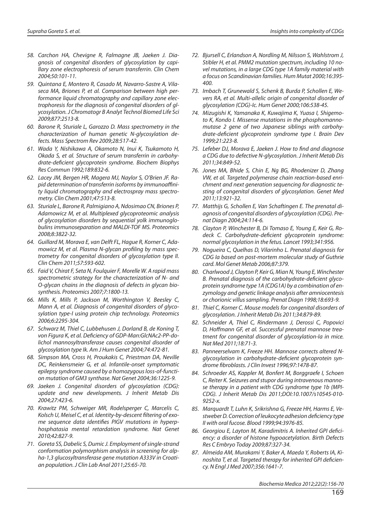- 58. Carchon HA, Chevigne R, Falmagne JB, Jaeken J. Diagnosis of congenital disorders of glycosylation by capillary zone electrophoresis of serum transferrin. Clin Chem 2004;50:101-11.
- 59. Quintana E, Montero R, Casado M, Navarro-Sastre A, Vilaseca MA, Briones P, et al. Comparison between high performance liquid chromatography and capillary zone electrophoresis for the diagnosis of congenital disorders of glycosylation. J Chromatogr B Analyt Technol Biomed Life Sci 2009;877:2513-8.
- 60. Barone R, Sturiale L, Garozzo D. Mass spectrometry in the characterization of human genetic N-glycosylation defects. Mass Spectrom Rev 2009;28:517-42.
- 61. Wada Y, Nishikawa A, Okamoto N, Inui K, Tsukamoto H, Okada S, et al. Structure of serum transferrin in carbohydrate-deficient glycoprotein syndrome. Biochem Biophys Res Commun 1992;189:832-6.
- 62. Lacey JM, Bergen HR, Magera MJ, Naylor S, O'Brien JF. Rapid determination of transferrin isoforms by immunoaffinity liquid chromatography and electrospray mass spectrometry. Clin Chem 2001;47:513-8.
- 63. Sturiale L, Barone R, Palmigiano A, Ndosimao CN, Briones P, Adamowicz M, et al. Multiplexed glycoproteomic analysis of glycosylation disorders by sequential yolk immunoglobulins immunoseparation and MALDI-TOF MS. Proteomics 2008;8:3822-32.
- 64. Guillard M, Morava E, van Delft FL, Hague R, Korner C, Adamowicz M, et al. Plasma N-glycan profiling by mass spectrometry for congenital disorders of glycosylation type II. Clin Chem 2011;57:593-602.
- 65. Faid V, Chirat F, Seta N, Foulquier F, Morelle W. A rapid mass spectrometric strategy for the characterization of N- and O-glycan chains in the diagnosis of defects in glycan biosynthesis. Proteomics 2007;7:1800-13.
- 66. Mills K, Mills P, Jackson M, Worthington V, Beesley C, Mann A, et al. Diagnosis of congenital disorders of glycosylation type-I using protein chip technology. Proteomics 2006;6:2295-304.
- 67. Schwarz M, Thiel C, Lubbehusen J, Dorland B, de Koning T, von Figura K, et al. Deficiency of GDP-Man:GlcNAc2-PP-dolichol mannosyltransferase causes congenital disorder of glycosylation type Ik. Am J Hum Genet 2004;74:472-81.
- 68. Simpson MA, Cross H, Proukakis C, Priestman DA, Neville DC, Reinkensmeier G, et al. Infantile-onset symptomatic epilepsy syndrome caused by a homozygous loss-of-function mutation of GM3 synthase. Nat Genet 2004;36:1225-9.
- 69. Jaeken J. Congenital disorders of glycosylation (CDG): update and new developments. J Inherit Metab Dis 2004;27:423-6.
- 70. Krawitz PM, Schweiger MR, Rodelsperger C, Marcelis C, Kolsch U, Meisel C, et al. Identity-by-descent filtering of exome sequence data identifies PIGV mutations in hyperphosphatasia mental retardation syndrome. Nat Genet 2010;42:827-9.
- 71. Goreta SS, Dabelic S, Dumic J. Employment of single-strand conformation polymorphism analysis in screening for alpha-1,3 glucosyltransferase gene mutation A333V in Croatian population. J Clin Lab Anal 2011;25:65-70.
- 72. Bjursell C, Erlandson A, Nordling M, Nilsson S, Wahlstrom J, Stibler H, et al. PMM2 mutation spectrum, including 10 novel mutations, in a large CDG type 1A family material with a focus on Scandinavian families. Hum Mutat 2000;16:395- 400.
- 73. Imbach T, Grunewald S, Schenk B, Burda P, Schollen E, Wevers RA, et al. Multi-allelic origin of congenital disorder of glycosylation (CDG)-Ic. Hum Genet 2000;106:538-45.
- 74. Mizugishi K, Yamanaka K, Kuwajima K, Yuasa I, Shigemoto K, Kondo I. Missense mutations in the phosphomannomutase 2 gene of two Japanese siblings with carbohydrate-deficient glycoprotein syndrome type I. Brain Dev 1999;21:223-8.
- 75. Lefeber DJ, Morava E, Jaeken J. How to find and diagnose a CDG due to defective N-glycosylation. J Inherit Metab Dis 2011;34:849-52.
- 76. Jones MA, Bhide S, Chin E, Ng BG, Rhodenizer D, Zhang VW, et al. Targeted polymerase chain reaction-based enrichment and next generation sequencing for diagnostic testing of congenital disorders of glycosylation. Genet Med 2011;13:921-32.
- 77. Matthijs G, Schollen E, Van Schaftingen E. The prenatal diagnosis of congenital disorders of glycosylation (CDG). Prenat Diagn 2004;24:114-6.
- 78. Clayton P, Winchester B, Di Tomaso E, Young E, Keir G, Rodeck C. Carbohydrate-deficient glycoprotein syndrome: normal glycosylation in the fetus. Lancet 1993;341:956.
- 79. Nogueira C, Quelhas D, Vilarinho L. Prenatal diagnosis for CDG Ia based on post-mortem molecular study of Guthrie card. Mol Genet Metab 2006;87:379.
- 80. Charlwood J, Clayton P, Keir G, Mian N, Young E, Winchester B. Prenatal diagnosis of the carbohydrate-deficient glycoprotein syndrome type 1A (CDG1A) by a combination of enzymology and genetic linkage analysis after amniocentesis or chorionic villus sampling. Prenat Diagn 1998;18:693-9.
- 81. Thiel C, Korner C. Mouse models for congenital disorders of glycosylation. J Inherit Metab Dis 2011;34:879-89.
- 82. Schneider A, Thiel C, Rindermann J, Derossi C, Popovici D, Hoffmann GF, et al. Successful prenatal mannose treatment for congenital disorder of glycosylation-Ia in mice. Nat Med 2011;18:71-3.
- 83. Panneerselvam K, Freeze HH. Mannose corrects altered Nglycosylation in carbohydrate-deficient glycoprotein syndrome fibroblasts. J Clin Invest 1996;97:1478-87.
- 84. Schroeder AS, Kappler M, Bonfert M, Borggraefe I, Schoen C, Reiter K. Seizures and stupor during intravenous mannose therapy in a patient with CDG syndrome type 1b (MPI-CDG). J Inherit Metab Dis 2011;DOI:10.1007/s10545-010- 9252-x.
- 85. Marquardt T, Luhn K, Srikrishna G, Freeze HH, Harms E, Vestweber D. Correction of leukocyte adhesion deficiency type II with oral fucose. Blood 1999;94:3976-85.
- 86. Georgiou E, Layton M, Karadimitris A. Inherited GPI deficiency: a disorder of histone hypoacetylation. Birth Defects Res C Embryo Today 2009;87:327-34.
- 87. Almeida AM, Murakami Y, Baker A, Maeda Y, Roberts IA, Kinoshita T, et al. Targeted therapy for inherited GPI deficiency. N Engl J Med 2007;356:1641-7.